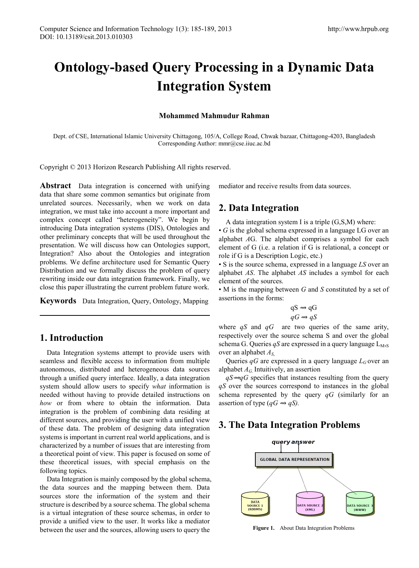# **Ontology-based Query Processing in a Dynamic Data Integration System**

#### **Mohammed Mahmudur Rahman**

Dept. of CSE, International Islamic University Chittagong, 105/A, College Road, Chwak bazaar, Chittagong-4203, Bangladesh Corresponding Author: mmr@cse.iiuc.ac.bd

Copyright © 2013 Horizon Research Publishing All rights reserved.

**Abstract** Data integration is concerned with unifying data that share some common semantics but originate from unrelated sources. Necessarily, when we work on data integration, we must take into account a more important and complex concept called "heterogeneity". We begin by introducing Data integration systems (DIS), Ontologies and other preliminary concepts that will be used throughout the presentation. We will discuss how can Ontologies support, Integration? Also about the Ontologies and integration problems. We define architecture used for Semantic Query Distribution and we formally discuss the problem of query rewriting inside our data integration framework. Finally, we close this paper illustrating the current problem future work.

**Keywords** Data Integration, Query, Ontology, Mapping

## **1. Introduction**

Data Integration systems attempt to provide users with seamless and flexible access to information from multiple autonomous, distributed and heterogeneous data sources through a unified query interface. Ideally, a data integration system should allow users to specify *what* information is needed without having to provide detailed instructions on *how* or from where to obtain the information. Data integration is the problem of combining data residing at different sources, and providing the user with a unified view of these data. The problem of designing data integration systems is important in current real world applications, and is characterized by a number of issues that are interesting from a theoretical point of view. This paper is focused on some of these theoretical issues, with special emphasis on the following topics.

Data Integration is mainly composed by the global schema, the data sources and the mapping between them. Data sources store the information of the system and their structure is described by a source schema. The global schema is a virtual integration of these source schemas, in order to provide a unified view to the user. It works like a mediator between the user and the sources, allowing users to query the

mediator and receive results from data sources.

# **2. Data Integration**

A data integration system I is a triple (G,S,M) where:

• *G* is the global schema expressed in a language LG over an alphabet *A*G. The alphabet comprises a symbol for each element of G (i.e. a relation if G is relational, a concept or role if G is a Description Logic, etc.)

• S is the source schema, expressed in a language *LS* over an alphabet *AS*. The alphabet *AS* includes a symbol for each element of the sources.

• M is the mapping between *G* and *S* constituted by a set of assertions in the forms:

$$
qS \rightsquigarrow qG
$$
  

$$
qG \rightsquigarrow qS
$$

where *qS* and *qG* are two queries of the same arity, respectively over the source schema S and over the global schema G. Queries  $qS$  are expressed in a query language  $L_{M,S}$ over an alphabet *AS*,

Queries  $qG$  are expressed in a query language  $L_G$  over an alphabet *AG*. Intuitively, an assertion

*qS<del>w</del>*<sup>*gG*</sup> specifies that instances resulting from the query *qS* over the sources correspond to instances in the global schema represented by the query *qG* (similarly for an assertion of type (*qG* ⇝ *qS).*

# **3. The Data Integration Problems**



**Figure 1.** About Data Integration Problems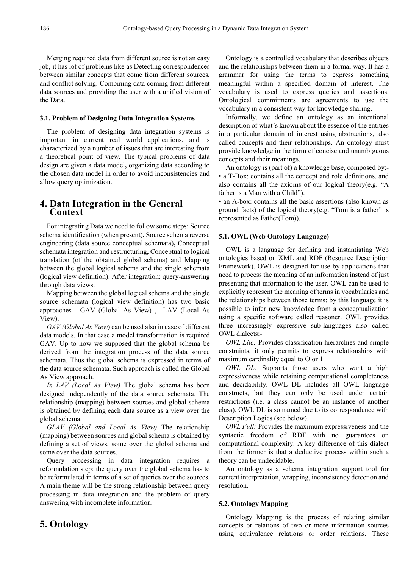Merging required data from different source is not an easy job, it has lot of problems like as Detecting correspondences between similar concepts that come from different sources, and conflict solving. Combining data coming from different data sources and providing the user with a unified vision of the Data.

#### **3.1. Problem of Designing Data Integration Systems**

The problem of designing data integration systems is important in current real world applications, and is characterized by a number of issues that are interesting from a theoretical point of view. The typical problems of data design are given a data model**,** organizing data according to the chosen data model in order to avoid inconsistencies and allow query optimization.

## **4. Data Integration in the General Context**

For integrating Data we need to follow some steps: Source schema identification (when present)**,** Source schema reverse engineering (data source conceptual schemata)**,** Conceptual schemata integration and restructuring**,** Conceptual to logical translation (of the obtained global schema) and Mapping between the global logical schema and the single schemata (logical view definition). After integration: query-answering through data views.

Mapping between the global logical schema and the single source schemata (logical view definition) has two basic approaches - GAV (Global As View) , LAV (Local As View).

*GAV (Global As View***)** can be used also in case of different data models. In that case a model transformation is required GAV. Up to now we supposed that the global schema be derived from the integration process of the data source schemata. Thus the global schema is expressed in terms of the data source schemata. Such approach is called the Global As View approach.

*In LAV (Local As View)* The global schema has been designed independently of the data source schemata. The relationship (mapping) between sources and global schema is obtained by defining each data source as a view over the global schema.

*GLAV (Global and Local As View)* The relationship (mapping) between sources and global schema is obtained by defining a set of views, some over the global schema and some over the data sources.

Query processing in data integration requires a reformulation step: the query over the global schema has to be reformulated in terms of a set of queries over the sources. A main theme will be the strong relationship between query processing in data integration and the problem of query answering with incomplete information.

### Ontology is a controlled vocabulary that describes objects and the relationships between them in a formal way. It has a grammar for using the terms to express something meaningful within a specified domain of interest. The vocabulary is used to express queries and assertions. Ontological commitments are agreements to use the vocabulary in a consistent way for knowledge sharing.

Informally, we define an ontology as an intentional description of what's known about the essence of the entities in a particular domain of interest using abstractions, also called concepts and their relationships. An ontology must provide knowledge in the form of concise and unambiguous concepts and their meanings.

An ontology is (part of) a knowledge base, composed by:- • a T-Box: contains all the concept and role definitions, and also contains all the axioms of our logical theory(e.g. "A father is a Man with a Child").

• an A-box: contains all the basic assertions (also known as ground facts) of the logical theory(e.g. "Tom is a father" is represented as Father(Tom)).

#### **5.1. OWL (Web Ontology Language)**

OWL is a language for defining and instantiating Web ontologies based on XML and RDF (Resource Description Framework). OWL is designed for use by applications that need to process the meaning of an information instead of just presenting that information to the user. OWL can be used to explicitly represent the meaning of terms in vocabularies and the relationships between those terms; by this language it is possible to infer new knowledge from a conceptualization using a specific software called reasoner. OWL provides three increasingly expressive sub-languages also called OWL dialects:-

*OWL Lite:* Provides classification hierarchies and simple constraints, it only permits to express relationships with maximum cardinality equal to O or 1.

*OWL DL:* Supports those users who want a high expressiveness while retaining computational completeness and decidability. OWL DL includes all OWL language constructs, but they can only be used under certain restrictions (i.e. a class cannot be an instance of another class). OWL DL is so named due to its correspondence with Description Logics (see below).

*OWL Full:* Provides the maximum expressiveness and the syntactic freedom of RDF with no guarantees on computational complexity. A key difference of this dialect from the former is that a deductive process within such a theory can be undecidable.

An ontology as a schema integration support tool for content interpretation, wrapping, inconsistency detection and resolution.

#### **5.2. Ontology Mapping**

Ontology Mapping is the process of relating similar concepts or relations of two or more information sources using equivalence relations or order relations. These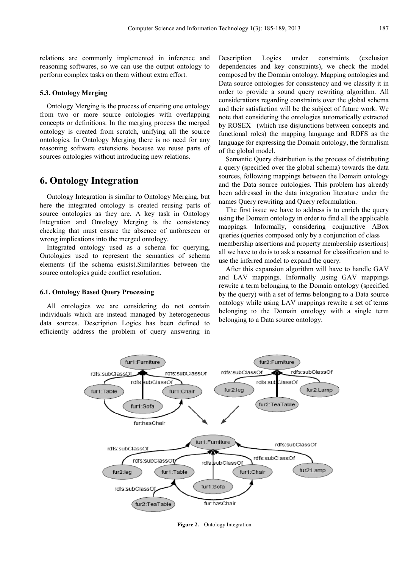relations are commonly implemented in inference and reasoning softwares, so we can use the output ontology to perform complex tasks on them without extra effort.

#### **5.3. Ontology Merging**

Ontology Merging is the process of creating one ontology from two or more source ontologies with overlapping concepts or definitions. In the merging process the merged ontology is created from scratch, unifying all the source ontologies. In Ontology Merging there is no need for any reasoning software extensions because we reuse parts of sources ontologies without introducing new relations.

# **6. Ontology Integration**

Ontology Integration is similar to Ontology Merging, but here the integrated ontology is created reusing parts of source ontologies as they are. A key task in Ontology Integration and Ontology Merging is the consistency checking that must ensure the absence of unforeseen or wrong implications into the merged ontology.

Integrated ontology used as a schema for querying, Ontologies used to represent the semantics of schema elements (if the schema exists).Similarities between the source ontologies guide conflict resolution.

#### **6.1. Ontology Based Query Processing**

All ontologies we are considering do not contain individuals which are instead managed by heterogeneous data sources. Description Logics has been defined to efficiently address the problem of query answering in

Description Logics under constraints (exclusion dependencies and key constraints), we check the model composed by the Domain ontology, Mapping ontologies and Data source ontologies for consistency and we classify it in order to provide a sound query rewriting algorithm. All considerations regarding constraints over the global schema and their satisfaction will be the subject of future work. We note that considering the ontologies automatically extracted by ROSEX (which use disjunctions between concepts and functional roles) the mapping language and RDFS as the language for expressing the Domain ontology, the formalism of the global model.

Semantic Query distribution is the process of distributing a query (specified over the global schema) towards the data sources, following mappings between the Domain ontology and the Data source ontologies. This problem has already been addressed in the data integration literature under the names Query rewriting and Query reformulation.

The first issue we have to address is to enrich the query using the Domain ontology in order to find all the applicable mappings. Informally, considering conjunctive ABox queries (queries composed only by a conjunction of class membership assertions and property membership assertions) all we have to do is to ask a reasoned for classification and to use the inferred model to expand the query.

After this expansion algorithm will have to handle GAV and LAV mappings. Informally ,using GAV mappings rewrite a term belonging to the Domain ontology (specified by the query) with a set of terms belonging to a Data source ontology while using LAV mappings rewrite a set of terms belonging to the Domain ontology with a single term belonging to a Data source ontology.



**Figure 2.** Ontology Integration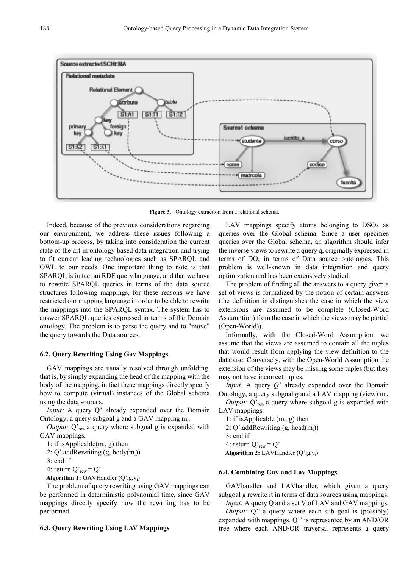

**Figure 3.** Ontology extraction from a relational schema.

Indeed, because of the previous considerations regarding our environment, we address these issues following a bottom-up process, by taking into consideration the current state of the art in ontology-based data integration and trying to fit current leading technologies such as SPARQL and OWL to our needs. One important thing to note is that SPARQL is in fact an RDF query language, and that we have to rewrite SPARQL queries in terms of the data source structures following mappings, for these reasons we have restricted our mapping language in order to be able to rewrite the mappings into the SPARQL syntax. The system has to answer SPARQL queries expressed in terms of the Domain ontology. The problem is to parse the query and to "move" the query towards the Data sources.

#### **6.2. Query Rewriting Using Gav Mappings**

GAV mappings are usually resolved through unfolding, that is, by simply expanding the head of the mapping with the body of the mapping, in fact these mappings directly specify how to compute (virtual) instances of the Global schema using the data sources.

*Input:* A query Q' already expanded over the Domain Ontology, a query subgoal g and a GAV mapping  $m_i$ .

*Output:* Q'<sub>rew</sub> a query where subgoal g is expanded with GAV mappings.

1: if is Applicable( $m_i$ , g) then

2: Q'.addRewriting  $(g, body(m_i))$ 

3: end if

4: return  $Q'_{\text{rew}} = Q'$ 

Algorithm 1: GAVHandler (Q',g,v<sub>i</sub>)

The problem of query rewriting using GAV mappings can be performed in deterministic polynomial time, since GAV mappings directly specify how the rewriting has to be performed.

#### **6.3. Query Rewriting Using LAV Mappings**

LAV mappings specify atoms belonging to DSOs as queries over the Global schema. Since a user specifies queries over the Global schema, an algorithm should infer the inverse views to rewrite a query q, originally expressed in terms of DO, in terms of Data source ontologies. This problem is well-known in data integration and query optimization and has been extensively studied.

The problem of finding all the answers to a query given a set of views is formalized by the notion of certain answers (the definition in distinguishes the case in which the view extensions are assumed to be complete (Closed-Word Assumption) from the case in which the views may be partial (Open-World)).

Informally, with the Closed-Word Assumption, we assume that the views are assumed to contain all the tuples that would result from applying the view definition to the database. Conversely, with the Open-World Assumption the extension of the views may be missing some tuples (but they may not have incorrect tuples.

*Input:* A query *Q'* already expanded over the Domain Ontology, a query subgoal *g* and a LAV mapping (view) m<sub>i</sub>.

*Output:* Q'<sub>rew</sub> a query where subgoal g is expanded with LAV mappings.

1: if is Applicable  $(m_i, g)$  then

2:  $Q'$ .addRewriting  $(g, head(m_i))$ 

- 3: end if
- 4: return  $Q'_{\text{rew}} = Q'$

Algorithm 2: LAVHandler (Q',g,v<sub>i</sub>)

#### **6.4. Combining Gav and Lav Mappings**

GAVhandler and LAVhandler, which given a query subgoal g rewrite it in terms of data sources using mappings. *Input:* A query Q and a set V of LAV and GAV mappings.

*Output:* Q" a query where each sub goal is (possibly) expanded with mappings. Q'' is represented by an AND/OR tree where each AND/OR traversal represents a query